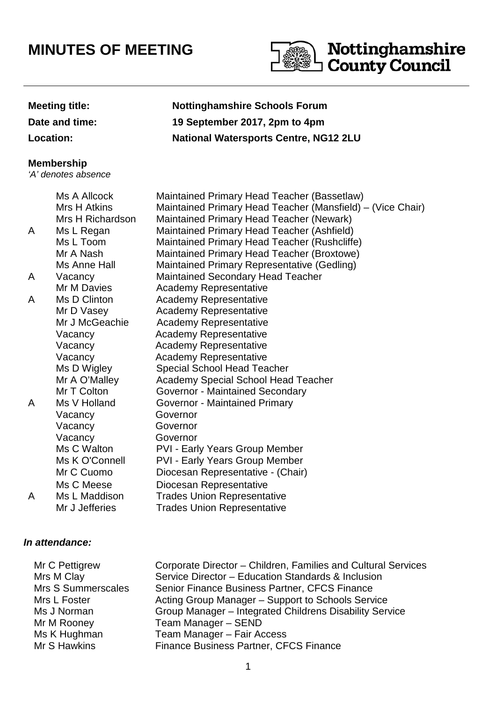# **MINUTES OF MEETING**



## **Meeting title: Nottinghamshire Schools Forum**

**Date and time: 19 September 2017, 2pm to 4pm**

**Location: National Watersports Centre, NG12 2LU**

#### **Membership**

'A' denotes absence

## Ms A Allcock Maintained Primary Head Teacher (Bassetlaw) Mrs H Atkins Maintained Primary Head Teacher (Mansfield) – (Vice Chair) Mrs H Richardson Maintained Primary Head Teacher (Newark) A Ms L Regan Maintained Primary Head Teacher (Ashfield) Ms L Toom Maintained Primary Head Teacher (Rushcliffe) Mr A Nash Maintained Primary Head Teacher (Broxtowe) Ms Anne Hall Maintained Primary Representative (Gedling) A Vacancy Maintained Secondary Head Teacher Mr M Davies **Academy Representative** A Ms D Clinton Academy Representative Mr D Vasey **Academy Representative** Mr J McGeachie Academy Representative Vacancy Academy Representative Vacancy Academy Representative Vacancy **Academy Representative** Ms D Wigley Special School Head Teacher Mr A O'Malley Academy Special School Head Teacher Mr T Colton **Governor - Maintained Secondary** A Ms V Holland Governor - Maintained Primary Vacancy Governor Vacancy Governor Vacancy Governor Ms C Walton PVI - Early Years Group Member Ms K O'Connell PVI - Early Years Group Member Mr C Cuomo Diocesan Representative - (Chair) Ms C Meese Diocesan Representative A Ms L Maddison Trades Union Representative Mr J Jefferies Trades Union Representative

## **In attendance:**

| Mr C Pettigrew            | Corporate Director - Children, Families and Cultural Services |
|---------------------------|---------------------------------------------------------------|
| Mrs M Clay                | Service Director - Education Standards & Inclusion            |
| <b>Mrs S Summerscales</b> | Senior Finance Business Partner, CFCS Finance                 |
| Mrs L Foster              | Acting Group Manager – Support to Schools Service             |
| Ms J Norman               | Group Manager - Integrated Childrens Disability Service       |
| Mr M Rooney               | Team Manager - SEND                                           |
| Ms K Hughman              | Team Manager - Fair Access                                    |
| Mr S Hawkins              | Finance Business Partner, CFCS Finance                        |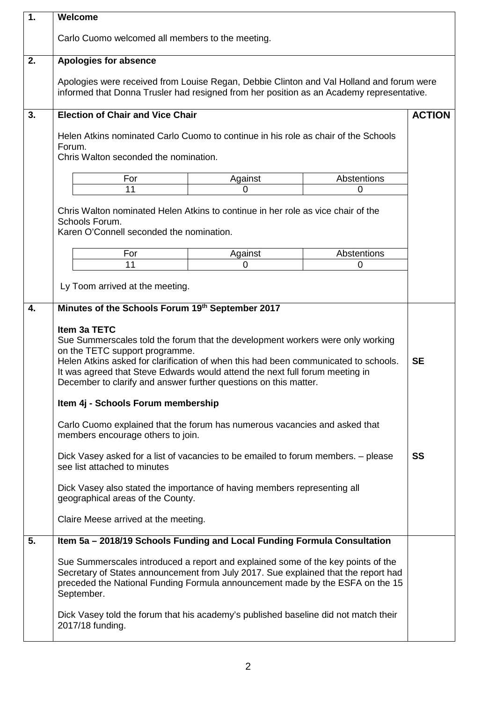| $\overline{1}$ . | Welcome                                                                                                                                                                                                                                                                                                                                                                                                                                                                                                                                                                                                                                                                                                                                                                                                                                                                |         |             |               |
|------------------|------------------------------------------------------------------------------------------------------------------------------------------------------------------------------------------------------------------------------------------------------------------------------------------------------------------------------------------------------------------------------------------------------------------------------------------------------------------------------------------------------------------------------------------------------------------------------------------------------------------------------------------------------------------------------------------------------------------------------------------------------------------------------------------------------------------------------------------------------------------------|---------|-------------|---------------|
|                  | Carlo Cuomo welcomed all members to the meeting.                                                                                                                                                                                                                                                                                                                                                                                                                                                                                                                                                                                                                                                                                                                                                                                                                       |         |             |               |
| 2.               | <b>Apologies for absence</b>                                                                                                                                                                                                                                                                                                                                                                                                                                                                                                                                                                                                                                                                                                                                                                                                                                           |         |             |               |
|                  | Apologies were received from Louise Regan, Debbie Clinton and Val Holland and forum were<br>informed that Donna Trusler had resigned from her position as an Academy representative.                                                                                                                                                                                                                                                                                                                                                                                                                                                                                                                                                                                                                                                                                   |         |             |               |
| 3.               | <b>Election of Chair and Vice Chair</b>                                                                                                                                                                                                                                                                                                                                                                                                                                                                                                                                                                                                                                                                                                                                                                                                                                |         |             | <b>ACTION</b> |
|                  | Helen Atkins nominated Carlo Cuomo to continue in his role as chair of the Schools<br>Forum.<br>Chris Walton seconded the nomination.                                                                                                                                                                                                                                                                                                                                                                                                                                                                                                                                                                                                                                                                                                                                  |         |             |               |
|                  |                                                                                                                                                                                                                                                                                                                                                                                                                                                                                                                                                                                                                                                                                                                                                                                                                                                                        |         |             |               |
|                  | For<br>11                                                                                                                                                                                                                                                                                                                                                                                                                                                                                                                                                                                                                                                                                                                                                                                                                                                              | Against | Abstentions |               |
|                  |                                                                                                                                                                                                                                                                                                                                                                                                                                                                                                                                                                                                                                                                                                                                                                                                                                                                        | 0       | 0           |               |
|                  | Chris Walton nominated Helen Atkins to continue in her role as vice chair of the<br>Schools Forum.<br>Karen O'Connell seconded the nomination.                                                                                                                                                                                                                                                                                                                                                                                                                                                                                                                                                                                                                                                                                                                         |         |             |               |
|                  | For                                                                                                                                                                                                                                                                                                                                                                                                                                                                                                                                                                                                                                                                                                                                                                                                                                                                    | Against | Abstentions |               |
|                  | 11                                                                                                                                                                                                                                                                                                                                                                                                                                                                                                                                                                                                                                                                                                                                                                                                                                                                     | 0       | 0           |               |
|                  |                                                                                                                                                                                                                                                                                                                                                                                                                                                                                                                                                                                                                                                                                                                                                                                                                                                                        |         |             |               |
|                  | Ly Toom arrived at the meeting.                                                                                                                                                                                                                                                                                                                                                                                                                                                                                                                                                                                                                                                                                                                                                                                                                                        |         |             |               |
|                  | Minutes of the Schools Forum 19th September 2017<br>Item 3a TETC<br>Sue Summerscales told the forum that the development workers were only working<br>on the TETC support programme.<br>Helen Atkins asked for clarification of when this had been communicated to schools.<br>It was agreed that Steve Edwards would attend the next full forum meeting in<br>December to clarify and answer further questions on this matter.<br>Item 4j - Schools Forum membership<br>Carlo Cuomo explained that the forum has numerous vacancies and asked that<br>members encourage others to join.<br>Dick Vasey asked for a list of vacancies to be emailed to forum members. - please<br>see list attached to minutes<br>Dick Vasey also stated the importance of having members representing all<br>geographical areas of the County.<br>Claire Meese arrived at the meeting. |         |             |               |
| 5.               | Item 5a - 2018/19 Schools Funding and Local Funding Formula Consultation<br>Sue Summerscales introduced a report and explained some of the key points of the<br>Secretary of States announcement from July 2017. Sue explained that the report had<br>preceded the National Funding Formula announcement made by the ESFA on the 15<br>September.<br>Dick Vasey told the forum that his academy's published baseline did not match their<br>2017/18 funding.                                                                                                                                                                                                                                                                                                                                                                                                           |         |             |               |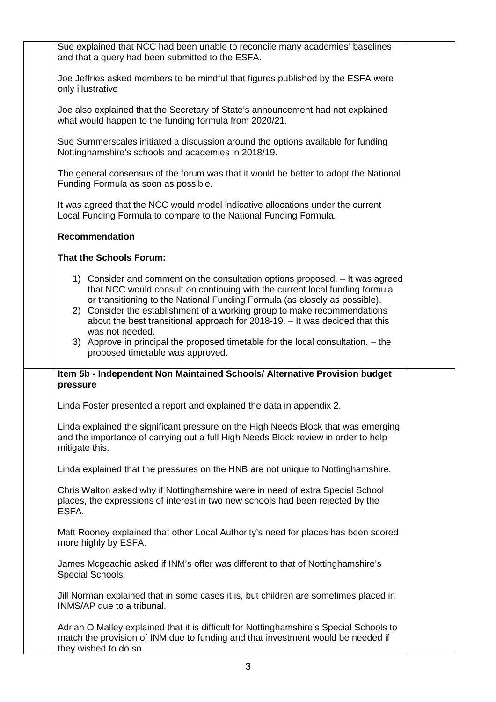| Sue explained that NCC had been unable to reconcile many academies' baselines<br>and that a query had been submitted to the ESFA.                                                                                                                                                                                                                                                                                                                                                                                                                 |  |
|---------------------------------------------------------------------------------------------------------------------------------------------------------------------------------------------------------------------------------------------------------------------------------------------------------------------------------------------------------------------------------------------------------------------------------------------------------------------------------------------------------------------------------------------------|--|
| Joe Jeffries asked members to be mindful that figures published by the ESFA were<br>only illustrative                                                                                                                                                                                                                                                                                                                                                                                                                                             |  |
| Joe also explained that the Secretary of State's announcement had not explained<br>what would happen to the funding formula from 2020/21.                                                                                                                                                                                                                                                                                                                                                                                                         |  |
| Sue Summerscales initiated a discussion around the options available for funding<br>Nottinghamshire's schools and academies in 2018/19.                                                                                                                                                                                                                                                                                                                                                                                                           |  |
| The general consensus of the forum was that it would be better to adopt the National<br>Funding Formula as soon as possible.                                                                                                                                                                                                                                                                                                                                                                                                                      |  |
| It was agreed that the NCC would model indicative allocations under the current<br>Local Funding Formula to compare to the National Funding Formula.                                                                                                                                                                                                                                                                                                                                                                                              |  |
| <b>Recommendation</b>                                                                                                                                                                                                                                                                                                                                                                                                                                                                                                                             |  |
| <b>That the Schools Forum:</b>                                                                                                                                                                                                                                                                                                                                                                                                                                                                                                                    |  |
| 1) Consider and comment on the consultation options proposed. - It was agreed<br>that NCC would consult on continuing with the current local funding formula<br>or transitioning to the National Funding Formula (as closely as possible).<br>2) Consider the establishment of a working group to make recommendations<br>about the best transitional approach for 2018-19. - It was decided that this<br>was not needed.<br>3) Approve in principal the proposed timetable for the local consultation. - the<br>proposed timetable was approved. |  |
| Item 5b - Independent Non Maintained Schools/ Alternative Provision budget<br>pressure                                                                                                                                                                                                                                                                                                                                                                                                                                                            |  |
| Linda Foster presented a report and explained the data in appendix 2.                                                                                                                                                                                                                                                                                                                                                                                                                                                                             |  |
| Linda explained the significant pressure on the High Needs Block that was emerging<br>and the importance of carrying out a full High Needs Block review in order to help<br>mitigate this.                                                                                                                                                                                                                                                                                                                                                        |  |
| Linda explained that the pressures on the HNB are not unique to Nottinghamshire.                                                                                                                                                                                                                                                                                                                                                                                                                                                                  |  |
| Chris Walton asked why if Nottinghamshire were in need of extra Special School<br>places, the expressions of interest in two new schools had been rejected by the<br>ESFA.                                                                                                                                                                                                                                                                                                                                                                        |  |
| Matt Rooney explained that other Local Authority's need for places has been scored<br>more highly by ESFA.                                                                                                                                                                                                                                                                                                                                                                                                                                        |  |
| James Mcgeachie asked if INM's offer was different to that of Nottinghamshire's<br>Special Schools.                                                                                                                                                                                                                                                                                                                                                                                                                                               |  |
| Jill Norman explained that in some cases it is, but children are sometimes placed in<br>INMS/AP due to a tribunal.                                                                                                                                                                                                                                                                                                                                                                                                                                |  |
| Adrian O Malley explained that it is difficult for Nottinghamshire's Special Schools to<br>match the provision of INM due to funding and that investment would be needed if<br>they wished to do so.                                                                                                                                                                                                                                                                                                                                              |  |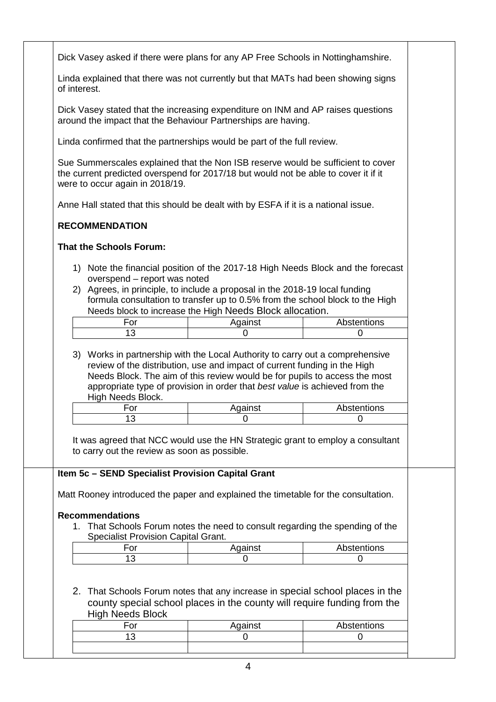|                                                                                                   | Dick Vasey asked if there were plans for any AP Free Schools in Nottinghamshire.                                                                                                                                                                |             |  |  |
|---------------------------------------------------------------------------------------------------|-------------------------------------------------------------------------------------------------------------------------------------------------------------------------------------------------------------------------------------------------|-------------|--|--|
| Linda explained that there was not currently but that MATs had been showing signs<br>of interest. |                                                                                                                                                                                                                                                 |             |  |  |
|                                                                                                   | Dick Vasey stated that the increasing expenditure on INM and AP raises questions<br>around the impact that the Behaviour Partnerships are having.                                                                                               |             |  |  |
|                                                                                                   | Linda confirmed that the partnerships would be part of the full review.                                                                                                                                                                         |             |  |  |
| were to occur again in 2018/19.                                                                   | Sue Summerscales explained that the Non ISB reserve would be sufficient to cover<br>the current predicted overspend for 2017/18 but would not be able to cover it if it                                                                         |             |  |  |
|                                                                                                   | Anne Hall stated that this should be dealt with by ESFA if it is a national issue.                                                                                                                                                              |             |  |  |
| <b>RECOMMENDATION</b>                                                                             |                                                                                                                                                                                                                                                 |             |  |  |
| <b>That the Schools Forum:</b>                                                                    |                                                                                                                                                                                                                                                 |             |  |  |
| overspend - report was noted                                                                      | 1) Note the financial position of the 2017-18 High Needs Block and the forecast<br>2) Agrees, in principle, to include a proposal in the 2018-19 local funding<br>formula consultation to transfer up to 0.5% from the school block to the High |             |  |  |
| For                                                                                               | Needs block to increase the High Needs Block allocation.<br>Against                                                                                                                                                                             | Abstentions |  |  |
| 13                                                                                                | 0                                                                                                                                                                                                                                               | 0           |  |  |
| appropriate type of provision in order that best value is achieved from the                       | review of the distribution, use and impact of current funding in the High<br>Needs Block. The aim of this review would be for pupils to access the most                                                                                         |             |  |  |
| High Needs Block.                                                                                 |                                                                                                                                                                                                                                                 |             |  |  |
| For                                                                                               | Against                                                                                                                                                                                                                                         | Abstentions |  |  |
| 13                                                                                                | O                                                                                                                                                                                                                                               | $\Omega$    |  |  |
| to carry out the review as soon as possible.                                                      | It was agreed that NCC would use the HN Strategic grant to employ a consultant                                                                                                                                                                  |             |  |  |
| Item 5c - SEND Specialist Provision Capital Grant                                                 |                                                                                                                                                                                                                                                 |             |  |  |
|                                                                                                   | Matt Rooney introduced the paper and explained the timetable for the consultation.                                                                                                                                                              |             |  |  |
| <b>Recommendations</b>                                                                            |                                                                                                                                                                                                                                                 |             |  |  |
|                                                                                                   | 1. That Schools Forum notes the need to consult regarding the spending of the                                                                                                                                                                   |             |  |  |
| <b>Specialist Provision Capital Grant.</b><br>For                                                 |                                                                                                                                                                                                                                                 | Abstentions |  |  |
| 13                                                                                                | Against<br>$\Omega$                                                                                                                                                                                                                             | 0           |  |  |
|                                                                                                   | 2. That Schools Forum notes that any increase in special school places in the<br>county special school places in the county will require funding from the                                                                                       |             |  |  |
| <b>High Needs Block</b>                                                                           |                                                                                                                                                                                                                                                 |             |  |  |
| For                                                                                               | Against                                                                                                                                                                                                                                         | Abstentions |  |  |
| 13                                                                                                | $\Omega$                                                                                                                                                                                                                                        | 0           |  |  |